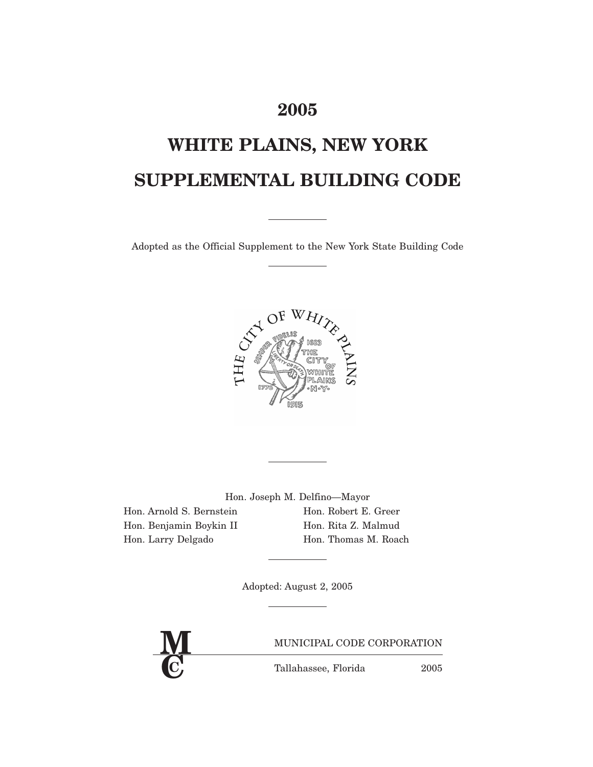# **2005**

# **WHITE PLAINS, NEW YORK SUPPLEMENTAL BUILDING CODE**

Adopted as the Official Supplement to the New York State Building Code



Hon. Joseph M. Delfino—Mayor

Hon. Arnold S. Bernstein Hon. Robert E. Greer Hon. Benjamin Boykin II Hon. Rita Z. Malmud

Hon. Larry Delgado Hon. Thomas M. Roach

Adopted: August 2, 2005

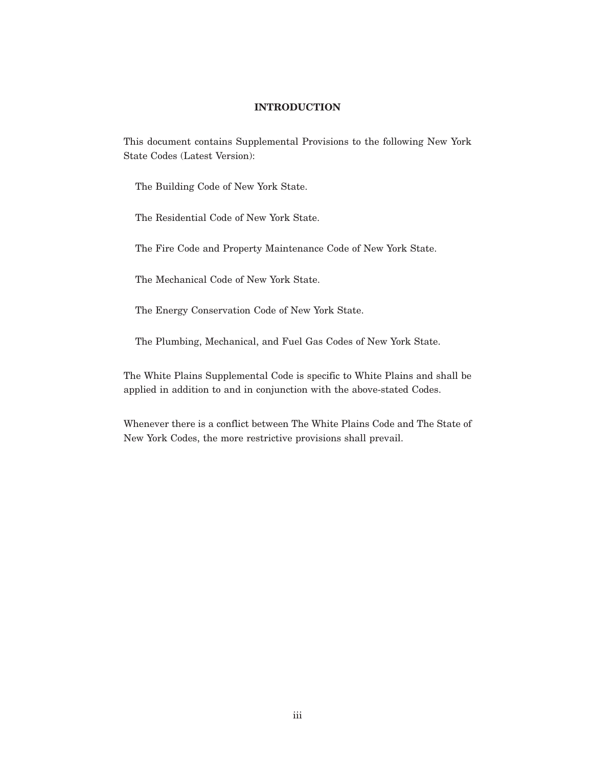#### **INTRODUCTION**

This document contains Supplemental Provisions to the following New York State Codes (Latest Version):

The Building Code of New York State.

The Residential Code of New York State.

The Fire Code and Property Maintenance Code of New York State.

The Mechanical Code of New York State.

The Energy Conservation Code of New York State.

The Plumbing, Mechanical, and Fuel Gas Codes of New York State.

The White Plains Supplemental Code is specific to White Plains and shall be applied in addition to and in conjunction with the above-stated Codes.

Whenever there is a conflict between The White Plains Code and The State of New York Codes, the more restrictive provisions shall prevail.